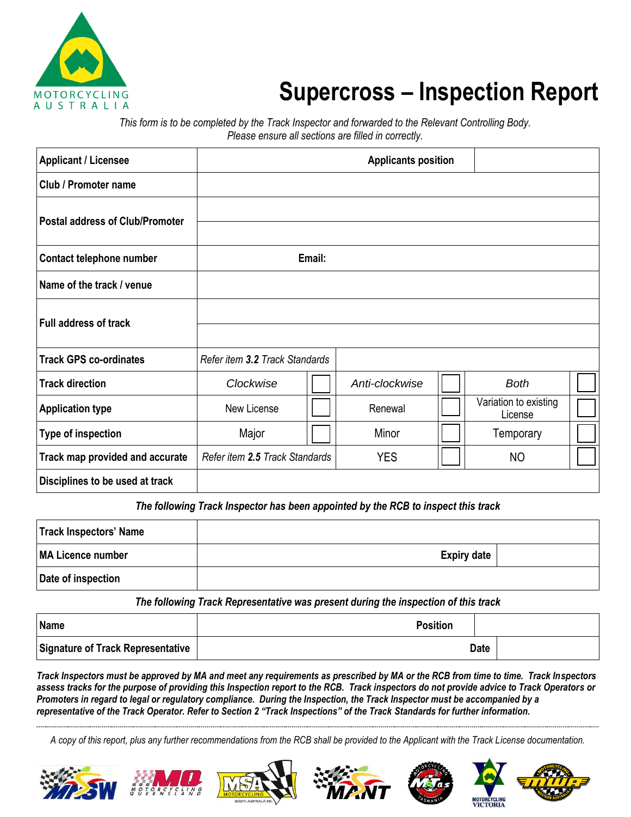

## **Supercross – Inspection Report**

*This form is to be completed by the Track Inspector and forwarded to the Relevant Controlling Body. Please ensure all sections are filled in correctly.*

| <b>Applicant / Licensee</b>            | <b>Applicants position</b>     |        |                |  |                                  |  |
|----------------------------------------|--------------------------------|--------|----------------|--|----------------------------------|--|
| Club / Promoter name                   |                                |        |                |  |                                  |  |
| <b>Postal address of Club/Promoter</b> |                                |        |                |  |                                  |  |
| Contact telephone number               |                                | Email: |                |  |                                  |  |
| Name of the track / venue              |                                |        |                |  |                                  |  |
| <b>Full address of track</b>           |                                |        |                |  |                                  |  |
| <b>Track GPS co-ordinates</b>          | Refer item 3.2 Track Standards |        |                |  |                                  |  |
| <b>Track direction</b>                 | Clockwise                      |        | Anti-clockwise |  | <b>Both</b>                      |  |
| <b>Application type</b>                | New License                    |        | Renewal        |  | Variation to existing<br>License |  |
| <b>Type of inspection</b>              | Major                          |        | Minor          |  | Temporary                        |  |
| Track map provided and accurate        | Refer item 2.5 Track Standards |        | <b>YES</b>     |  | NO                               |  |
| Disciplines to be used at track        |                                |        |                |  |                                  |  |

The following Track Inspector has been appointed by the RCB to inspect this track

| Track Inspectors' Name |                    |  |
|------------------------|--------------------|--|
| MA Licence number      | <b>Expiry date</b> |  |
| Date of inspection     |                    |  |

*The following Track Representative was present during the inspection of this track*

| Name                                     | <b>Position</b> |  |
|------------------------------------------|-----------------|--|
| <b>Signature of Track Representative</b> | <b>Date</b>     |  |

*Track Inspectors must be approved by MA and meet any requirements as prescribed by MA or the RCB from time to time. Track Inspectors assess tracks for the purpose of providing this Inspection report to the RCB. Track inspectors do not provide advice to Track Operators or Promoters in regard to legal or regulatory compliance. During the Inspection, the Track Inspector must be accompanied by a representative of the Track Operator. Refer to Section 2 "Track Inspections" of the Track Standards for further information.*

*A copy of this report, plus any further recommendations from the RCB shall be provided to the Applicant with the Track License documentation.*











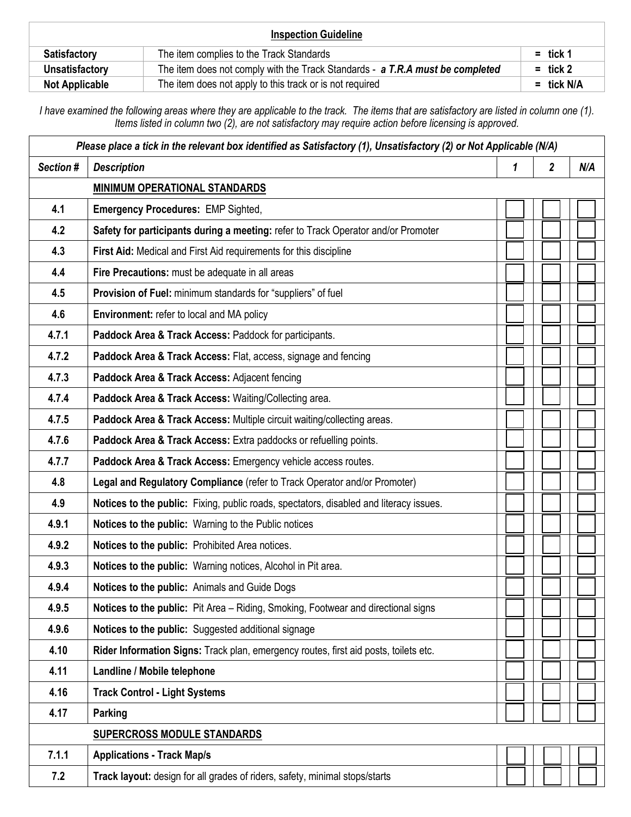| <b>Inspection Guideline</b> |                                                                               |              |  |  |
|-----------------------------|-------------------------------------------------------------------------------|--------------|--|--|
| <b>Satisfactory</b>         | The item complies to the Track Standards                                      | $=$ tick 1   |  |  |
| Unsatisfactory              | The item does not comply with the Track Standards - a T.R.A must be completed | $=$ tick 2   |  |  |
| <b>Not Applicable</b>       | The item does not apply to this track or is not required                      | $=$ tick N/A |  |  |

*I have examined the following areas where they are applicable to the track. The items that are satisfactory are listed in column one (1). Items listed in column two (2), are not satisfactory may require action before licensing is approved.*

| $\overline{\mathbf{2}}$<br>Section #<br><b>Description</b><br>1<br>N/A<br><b>MINIMUM OPERATIONAL STANDARDS</b><br>4.1<br><b>Emergency Procedures: EMP Sighted,</b><br>4.2<br>Safety for participants during a meeting: refer to Track Operator and/or Promoter<br>4.3<br>First Aid: Medical and First Aid requirements for this discipline<br>Fire Precautions: must be adequate in all areas<br>4.4<br>4.5<br>Provision of Fuel: minimum standards for "suppliers" of fuel<br>4.6<br>Environment: refer to local and MA policy<br>4.7.1<br>Paddock Area & Track Access: Paddock for participants.<br>4.7.2<br>Paddock Area & Track Access: Flat, access, signage and fencing<br>4.7.3<br>Paddock Area & Track Access: Adjacent fencing<br>4.7.4<br>Paddock Area & Track Access: Waiting/Collecting area.<br>4.7.5<br>Paddock Area & Track Access: Multiple circuit waiting/collecting areas.<br>4.7.6<br>Paddock Area & Track Access: Extra paddocks or refuelling points.<br>Paddock Area & Track Access: Emergency vehicle access routes.<br>4.7.7<br>4.8<br>Legal and Regulatory Compliance (refer to Track Operator and/or Promoter)<br>4.9<br>Notices to the public: Fixing, public roads, spectators, disabled and literacy issues.<br>4.9.1<br>Notices to the public: Warning to the Public notices<br>4.9.2<br>Notices to the public: Prohibited Area notices.<br>4.9.3<br>Notices to the public: Warning notices, Alcohol in Pit area.<br>4.9.4<br>Notices to the public: Animals and Guide Dogs<br>4.9.5<br>Notices to the public: Pit Area - Riding, Smoking, Footwear and directional signs<br>4.9.6<br>Notices to the public: Suggested additional signage<br>4.10<br>Rider Information Signs: Track plan, emergency routes, first aid posts, toilets etc.<br>Landline / Mobile telephone<br>4.11<br>4.16<br><b>Track Control - Light Systems</b><br>4.17<br>Parking<br><b>SUPERCROSS MODULE STANDARDS</b><br>7.1.1<br><b>Applications - Track Map/s</b><br>7.2<br>Track layout: design for all grades of riders, safety, minimal stops/starts | Please place a tick in the relevant box identified as Satisfactory (1), Unsatisfactory (2) or Not Applicable (N/A) |  |  |  |  |  |
|--------------------------------------------------------------------------------------------------------------------------------------------------------------------------------------------------------------------------------------------------------------------------------------------------------------------------------------------------------------------------------------------------------------------------------------------------------------------------------------------------------------------------------------------------------------------------------------------------------------------------------------------------------------------------------------------------------------------------------------------------------------------------------------------------------------------------------------------------------------------------------------------------------------------------------------------------------------------------------------------------------------------------------------------------------------------------------------------------------------------------------------------------------------------------------------------------------------------------------------------------------------------------------------------------------------------------------------------------------------------------------------------------------------------------------------------------------------------------------------------------------------------------------------------------------------------------------------------------------------------------------------------------------------------------------------------------------------------------------------------------------------------------------------------------------------------------------------------------------------------------------------------------------------------------------------------------------------------------------------------------------------------------------------------------------------|--------------------------------------------------------------------------------------------------------------------|--|--|--|--|--|
|                                                                                                                                                                                                                                                                                                                                                                                                                                                                                                                                                                                                                                                                                                                                                                                                                                                                                                                                                                                                                                                                                                                                                                                                                                                                                                                                                                                                                                                                                                                                                                                                                                                                                                                                                                                                                                                                                                                                                                                                                                                              |                                                                                                                    |  |  |  |  |  |
|                                                                                                                                                                                                                                                                                                                                                                                                                                                                                                                                                                                                                                                                                                                                                                                                                                                                                                                                                                                                                                                                                                                                                                                                                                                                                                                                                                                                                                                                                                                                                                                                                                                                                                                                                                                                                                                                                                                                                                                                                                                              |                                                                                                                    |  |  |  |  |  |
|                                                                                                                                                                                                                                                                                                                                                                                                                                                                                                                                                                                                                                                                                                                                                                                                                                                                                                                                                                                                                                                                                                                                                                                                                                                                                                                                                                                                                                                                                                                                                                                                                                                                                                                                                                                                                                                                                                                                                                                                                                                              |                                                                                                                    |  |  |  |  |  |
|                                                                                                                                                                                                                                                                                                                                                                                                                                                                                                                                                                                                                                                                                                                                                                                                                                                                                                                                                                                                                                                                                                                                                                                                                                                                                                                                                                                                                                                                                                                                                                                                                                                                                                                                                                                                                                                                                                                                                                                                                                                              |                                                                                                                    |  |  |  |  |  |
|                                                                                                                                                                                                                                                                                                                                                                                                                                                                                                                                                                                                                                                                                                                                                                                                                                                                                                                                                                                                                                                                                                                                                                                                                                                                                                                                                                                                                                                                                                                                                                                                                                                                                                                                                                                                                                                                                                                                                                                                                                                              |                                                                                                                    |  |  |  |  |  |
|                                                                                                                                                                                                                                                                                                                                                                                                                                                                                                                                                                                                                                                                                                                                                                                                                                                                                                                                                                                                                                                                                                                                                                                                                                                                                                                                                                                                                                                                                                                                                                                                                                                                                                                                                                                                                                                                                                                                                                                                                                                              |                                                                                                                    |  |  |  |  |  |
|                                                                                                                                                                                                                                                                                                                                                                                                                                                                                                                                                                                                                                                                                                                                                                                                                                                                                                                                                                                                                                                                                                                                                                                                                                                                                                                                                                                                                                                                                                                                                                                                                                                                                                                                                                                                                                                                                                                                                                                                                                                              |                                                                                                                    |  |  |  |  |  |
|                                                                                                                                                                                                                                                                                                                                                                                                                                                                                                                                                                                                                                                                                                                                                                                                                                                                                                                                                                                                                                                                                                                                                                                                                                                                                                                                                                                                                                                                                                                                                                                                                                                                                                                                                                                                                                                                                                                                                                                                                                                              |                                                                                                                    |  |  |  |  |  |
|                                                                                                                                                                                                                                                                                                                                                                                                                                                                                                                                                                                                                                                                                                                                                                                                                                                                                                                                                                                                                                                                                                                                                                                                                                                                                                                                                                                                                                                                                                                                                                                                                                                                                                                                                                                                                                                                                                                                                                                                                                                              |                                                                                                                    |  |  |  |  |  |
|                                                                                                                                                                                                                                                                                                                                                                                                                                                                                                                                                                                                                                                                                                                                                                                                                                                                                                                                                                                                                                                                                                                                                                                                                                                                                                                                                                                                                                                                                                                                                                                                                                                                                                                                                                                                                                                                                                                                                                                                                                                              |                                                                                                                    |  |  |  |  |  |
|                                                                                                                                                                                                                                                                                                                                                                                                                                                                                                                                                                                                                                                                                                                                                                                                                                                                                                                                                                                                                                                                                                                                                                                                                                                                                                                                                                                                                                                                                                                                                                                                                                                                                                                                                                                                                                                                                                                                                                                                                                                              |                                                                                                                    |  |  |  |  |  |
|                                                                                                                                                                                                                                                                                                                                                                                                                                                                                                                                                                                                                                                                                                                                                                                                                                                                                                                                                                                                                                                                                                                                                                                                                                                                                                                                                                                                                                                                                                                                                                                                                                                                                                                                                                                                                                                                                                                                                                                                                                                              |                                                                                                                    |  |  |  |  |  |
|                                                                                                                                                                                                                                                                                                                                                                                                                                                                                                                                                                                                                                                                                                                                                                                                                                                                                                                                                                                                                                                                                                                                                                                                                                                                                                                                                                                                                                                                                                                                                                                                                                                                                                                                                                                                                                                                                                                                                                                                                                                              |                                                                                                                    |  |  |  |  |  |
|                                                                                                                                                                                                                                                                                                                                                                                                                                                                                                                                                                                                                                                                                                                                                                                                                                                                                                                                                                                                                                                                                                                                                                                                                                                                                                                                                                                                                                                                                                                                                                                                                                                                                                                                                                                                                                                                                                                                                                                                                                                              |                                                                                                                    |  |  |  |  |  |
|                                                                                                                                                                                                                                                                                                                                                                                                                                                                                                                                                                                                                                                                                                                                                                                                                                                                                                                                                                                                                                                                                                                                                                                                                                                                                                                                                                                                                                                                                                                                                                                                                                                                                                                                                                                                                                                                                                                                                                                                                                                              |                                                                                                                    |  |  |  |  |  |
|                                                                                                                                                                                                                                                                                                                                                                                                                                                                                                                                                                                                                                                                                                                                                                                                                                                                                                                                                                                                                                                                                                                                                                                                                                                                                                                                                                                                                                                                                                                                                                                                                                                                                                                                                                                                                                                                                                                                                                                                                                                              |                                                                                                                    |  |  |  |  |  |
|                                                                                                                                                                                                                                                                                                                                                                                                                                                                                                                                                                                                                                                                                                                                                                                                                                                                                                                                                                                                                                                                                                                                                                                                                                                                                                                                                                                                                                                                                                                                                                                                                                                                                                                                                                                                                                                                                                                                                                                                                                                              |                                                                                                                    |  |  |  |  |  |
|                                                                                                                                                                                                                                                                                                                                                                                                                                                                                                                                                                                                                                                                                                                                                                                                                                                                                                                                                                                                                                                                                                                                                                                                                                                                                                                                                                                                                                                                                                                                                                                                                                                                                                                                                                                                                                                                                                                                                                                                                                                              |                                                                                                                    |  |  |  |  |  |
|                                                                                                                                                                                                                                                                                                                                                                                                                                                                                                                                                                                                                                                                                                                                                                                                                                                                                                                                                                                                                                                                                                                                                                                                                                                                                                                                                                                                                                                                                                                                                                                                                                                                                                                                                                                                                                                                                                                                                                                                                                                              |                                                                                                                    |  |  |  |  |  |
|                                                                                                                                                                                                                                                                                                                                                                                                                                                                                                                                                                                                                                                                                                                                                                                                                                                                                                                                                                                                                                                                                                                                                                                                                                                                                                                                                                                                                                                                                                                                                                                                                                                                                                                                                                                                                                                                                                                                                                                                                                                              |                                                                                                                    |  |  |  |  |  |
|                                                                                                                                                                                                                                                                                                                                                                                                                                                                                                                                                                                                                                                                                                                                                                                                                                                                                                                                                                                                                                                                                                                                                                                                                                                                                                                                                                                                                                                                                                                                                                                                                                                                                                                                                                                                                                                                                                                                                                                                                                                              |                                                                                                                    |  |  |  |  |  |
|                                                                                                                                                                                                                                                                                                                                                                                                                                                                                                                                                                                                                                                                                                                                                                                                                                                                                                                                                                                                                                                                                                                                                                                                                                                                                                                                                                                                                                                                                                                                                                                                                                                                                                                                                                                                                                                                                                                                                                                                                                                              |                                                                                                                    |  |  |  |  |  |
|                                                                                                                                                                                                                                                                                                                                                                                                                                                                                                                                                                                                                                                                                                                                                                                                                                                                                                                                                                                                                                                                                                                                                                                                                                                                                                                                                                                                                                                                                                                                                                                                                                                                                                                                                                                                                                                                                                                                                                                                                                                              |                                                                                                                    |  |  |  |  |  |
|                                                                                                                                                                                                                                                                                                                                                                                                                                                                                                                                                                                                                                                                                                                                                                                                                                                                                                                                                                                                                                                                                                                                                                                                                                                                                                                                                                                                                                                                                                                                                                                                                                                                                                                                                                                                                                                                                                                                                                                                                                                              |                                                                                                                    |  |  |  |  |  |
|                                                                                                                                                                                                                                                                                                                                                                                                                                                                                                                                                                                                                                                                                                                                                                                                                                                                                                                                                                                                                                                                                                                                                                                                                                                                                                                                                                                                                                                                                                                                                                                                                                                                                                                                                                                                                                                                                                                                                                                                                                                              |                                                                                                                    |  |  |  |  |  |
|                                                                                                                                                                                                                                                                                                                                                                                                                                                                                                                                                                                                                                                                                                                                                                                                                                                                                                                                                                                                                                                                                                                                                                                                                                                                                                                                                                                                                                                                                                                                                                                                                                                                                                                                                                                                                                                                                                                                                                                                                                                              |                                                                                                                    |  |  |  |  |  |
|                                                                                                                                                                                                                                                                                                                                                                                                                                                                                                                                                                                                                                                                                                                                                                                                                                                                                                                                                                                                                                                                                                                                                                                                                                                                                                                                                                                                                                                                                                                                                                                                                                                                                                                                                                                                                                                                                                                                                                                                                                                              |                                                                                                                    |  |  |  |  |  |
|                                                                                                                                                                                                                                                                                                                                                                                                                                                                                                                                                                                                                                                                                                                                                                                                                                                                                                                                                                                                                                                                                                                                                                                                                                                                                                                                                                                                                                                                                                                                                                                                                                                                                                                                                                                                                                                                                                                                                                                                                                                              |                                                                                                                    |  |  |  |  |  |
|                                                                                                                                                                                                                                                                                                                                                                                                                                                                                                                                                                                                                                                                                                                                                                                                                                                                                                                                                                                                                                                                                                                                                                                                                                                                                                                                                                                                                                                                                                                                                                                                                                                                                                                                                                                                                                                                                                                                                                                                                                                              |                                                                                                                    |  |  |  |  |  |
|                                                                                                                                                                                                                                                                                                                                                                                                                                                                                                                                                                                                                                                                                                                                                                                                                                                                                                                                                                                                                                                                                                                                                                                                                                                                                                                                                                                                                                                                                                                                                                                                                                                                                                                                                                                                                                                                                                                                                                                                                                                              |                                                                                                                    |  |  |  |  |  |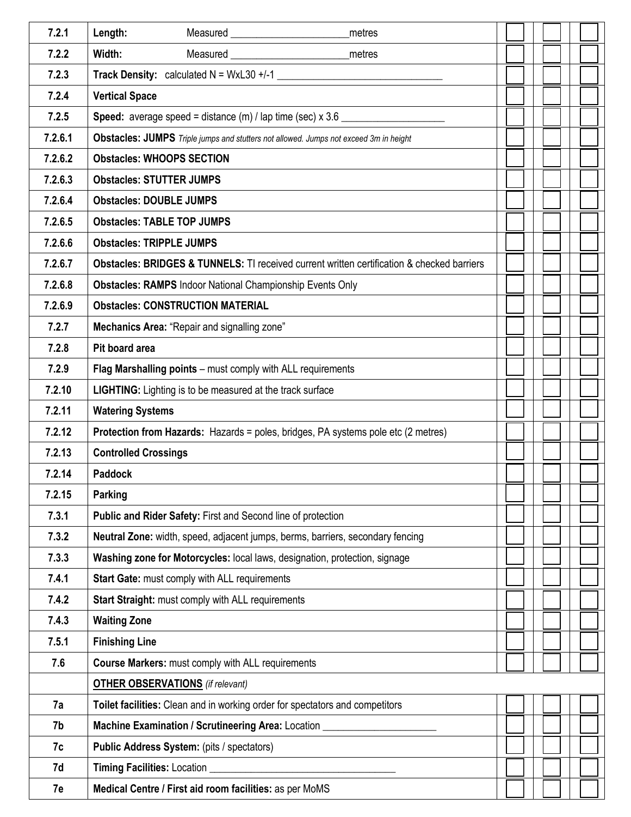| 7.2.1   | Length:<br>metres                                                                                                                                                                                                                                  |  |  |  |
|---------|----------------------------------------------------------------------------------------------------------------------------------------------------------------------------------------------------------------------------------------------------|--|--|--|
| 7.2.2   | Width:<br>Measured Network and Second Second Second Second Second Second Second Second Second Second Second Second Second Second Second Second Second Second Second Second Second Second Second Second Second Second Second Second Secon<br>metres |  |  |  |
| 7.2.3   | Track Density: calculated $N = WxL30 +11$                                                                                                                                                                                                          |  |  |  |
| 7.2.4   | <b>Vertical Space</b>                                                                                                                                                                                                                              |  |  |  |
| 7.2.5   | <b>Speed:</b> average speed = distance $(m)$ / lap time (sec) $x$ 3.6 $\_\_\_\_\_\_\_\_\_\_\_\_\_\_\_\_\_\_\_\_\_\_$                                                                                                                               |  |  |  |
| 7.2.6.1 | Obstacles: JUMPS Triple jumps and stutters not allowed. Jumps not exceed 3m in height                                                                                                                                                              |  |  |  |
| 7.2.6.2 | <b>Obstacles: WHOOPS SECTION</b>                                                                                                                                                                                                                   |  |  |  |
| 7.2.6.3 | <b>Obstacles: STUTTER JUMPS</b>                                                                                                                                                                                                                    |  |  |  |
| 7.2.6.4 | <b>Obstacles: DOUBLE JUMPS</b>                                                                                                                                                                                                                     |  |  |  |
| 7.2.6.5 | <b>Obstacles: TABLE TOP JUMPS</b>                                                                                                                                                                                                                  |  |  |  |
| 7.2.6.6 | <b>Obstacles: TRIPPLE JUMPS</b>                                                                                                                                                                                                                    |  |  |  |
| 7.2.6.7 | <b>Obstacles: BRIDGES &amp; TUNNELS:</b> TI received current written certification & checked barriers                                                                                                                                              |  |  |  |
| 7.2.6.8 | <b>Obstacles: RAMPS Indoor National Championship Events Only</b>                                                                                                                                                                                   |  |  |  |
| 7.2.6.9 | <b>Obstacles: CONSTRUCTION MATERIAL</b>                                                                                                                                                                                                            |  |  |  |
| 7.2.7   | Mechanics Area: "Repair and signalling zone"                                                                                                                                                                                                       |  |  |  |
| 7.2.8   | Pit board area                                                                                                                                                                                                                                     |  |  |  |
| 7.2.9   | Flag Marshalling points - must comply with ALL requirements                                                                                                                                                                                        |  |  |  |
| 7.2.10  | LIGHTING: Lighting is to be measured at the track surface                                                                                                                                                                                          |  |  |  |
| 7.2.11  | <b>Watering Systems</b>                                                                                                                                                                                                                            |  |  |  |
| 7.2.12  | <b>Protection from Hazards:</b> Hazards = poles, bridges, PA systems pole etc (2 metres)                                                                                                                                                           |  |  |  |
| 7.2.13  | <b>Controlled Crossings</b>                                                                                                                                                                                                                        |  |  |  |
| 7.2.14  | <b>Paddock</b>                                                                                                                                                                                                                                     |  |  |  |
| 7.2.15  | Parking                                                                                                                                                                                                                                            |  |  |  |
| 7.3.1   | Public and Rider Safety: First and Second line of protection                                                                                                                                                                                       |  |  |  |
| 7.3.2   | Neutral Zone: width, speed, adjacent jumps, berms, barriers, secondary fencing                                                                                                                                                                     |  |  |  |
| 7.3.3   | Washing zone for Motorcycles: local laws, designation, protection, signage                                                                                                                                                                         |  |  |  |
| 7.4.1   | Start Gate: must comply with ALL requirements                                                                                                                                                                                                      |  |  |  |
| 7.4.2   | Start Straight: must comply with ALL requirements                                                                                                                                                                                                  |  |  |  |
| 7.4.3   | <b>Waiting Zone</b>                                                                                                                                                                                                                                |  |  |  |
| 7.5.1   | <b>Finishing Line</b>                                                                                                                                                                                                                              |  |  |  |
| 7.6     | <b>Course Markers: must comply with ALL requirements</b>                                                                                                                                                                                           |  |  |  |
|         | <b>OTHER OBSERVATIONS</b> (if relevant)                                                                                                                                                                                                            |  |  |  |
| 7a      | Toilet facilities: Clean and in working order for spectators and competitors                                                                                                                                                                       |  |  |  |
| 7b      | Machine Examination / Scrutineering Area: Location _                                                                                                                                                                                               |  |  |  |
| 7c      | Public Address System: (pits / spectators)                                                                                                                                                                                                         |  |  |  |
| 7d      | Timing Facilities: Location                                                                                                                                                                                                                        |  |  |  |
| 7e      | Medical Centre / First aid room facilities: as per MoMS                                                                                                                                                                                            |  |  |  |